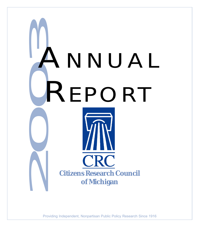

Providing Independent, Nonpartisan Public Policy Research Since 1916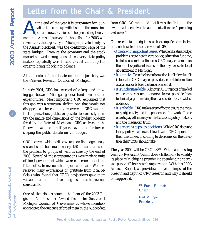# Letter from the Chair & President

months. A casual survey of those lists for 2003 will reveal that the top story in Michigan, rivaled only by the August blackout, was the continuing saga of the state budget. Even as the economy and the stock market showed strong signs of recovery, state policy makers repeatedly were forced to visit the budget in order to bring it back into balance. t the end of the year it is customary for jour-<br>
nalists to come up with lists of the most im-<br>
portant news stories of the preceding twelve<br>
months A casual survey of those lists for 2003 will nalists to come up with lists of the most important news stories of the preceding twelve

At the center of the debate on this major story was the Citizens Research Council of Michigan.

In early 2001, CRC had warned of a large and growing gap between Michigan general fund revenues and expenditures. Most important, CRC explained that this gap was a structural deficit, one that would not disappear as the economy recovered. CRC was the first organization, public or private, to correctly identify the nature and dimensions of the budget problem faced by the State of Michigan. CRC analyses in the following two and a half years have gone far toward shaping the public debate on the budget.

CRC received wide media coverage on its budget analyses and staff had made nearly 150 presentations on the problem to groups of various sizes by the end of 2003. Several of those presentations were made to units of local government which were concerned about the future of state revenue sharing or school aid. We have received many expressions of gratitude from local officials who found that CRC's projections gave them valuable lead-time in developing responses to revenue constraints.

One of the tributes came in the form of the 2003 Regional Ambassador Award from the Southeast Michigan Council of Governments, whose members appreciated the guidance afforded them by the budget data from CRC. We were told that it was the first time the award had been given to an organization for "spreading bad news."

Our recent state budget research exemplifies certain important characteristics of the work of CRC:

- • *It deals with important issues.* Whether it is state budget problems, state health care policy, education funding, ballot issues, or local finances, CRC analyses zero in on the most significant issues of the day for state-local government in Michigan.
- *It is timely.* Even the best information is of little value if it is too late. CRC analyses provide the best information available at or before the time it is needed.
- *It is understandable.* Although CRC reports often deal with complex issues, they are as free as possible from technical jargon, making them accessible to the widest audience.
- *It is reliable.* CRC makes every effort to assure the accuracy, objectivity, and independence of its work. These efforts pay off in analyses that citizens, policy makers, and the media can trust.
- *It is relevant to policy decisions.* While CRC does not lobby, policy makers at all levels value CRC reports for their usefulness in coming to decisions on the direction their units should take.

The year 2004 will be CRC's  $88<sup>th</sup>$ . With each passing year, the Research Council does a little more to solidify its place as Michigan's premier independent, nonpartisan public affairs research organization. With this *2003 Annual Report*, we provide a one-year glimpse of the breadth and depth of CRC research and why it should be supported.

> W. Frank Fountain Chair

Earl M. Ryan President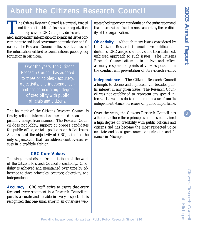$\left( 2\right)$ 

# About the Citizens Research Council

The Citizens Research Council is a privately funded, not-for-profit public affairs research organization.  $\blacksquare$  The objective of CRC is to provide factual, unbiased, independent information on significant issues concerning state and local government organization and finance. The Research Council believes that the use of this information will lead to sound, rational public policy formation in Michigan.

> Over the years, the Citizens Research Council has adhered to three principles - accuracy, objectivity, and independence and has earned a high degree of credibility with public officials and citizens.

The hallmark of the Citizens Research Council is timely, reliable information researched in an independent, nonpartisan manner. The Research Council does not lobby, support or oppose candidates for public office, or take positions on ballot issues. As a result of the objectivity of CRC, it is often the only organization that can address controversial issues in a credibile fashion.

### **CRC Core Values**

The single most distinguishing attribute of the work of the Citizens Research Council is credibility. Credibility is achieved and maintained over time by adherence to three principles: accuracy, objectivity, and independence.

**Accuracy** CRC staff strive to assure that every fact and every statement in a Research Council report is accurate and reliable in every respect. It is recognized that one small error in an otherwise wellresearched report can cast doubt on the entire report and that a succession of such errors can destroy the credibility of the organization.

**Objectivity** Although many issues considered by the Citizens Research Council have political undertones, CRC analyses are noted for their balanced, unbiased approach to such issues. The Citizens Research Council attempts to analyze and reflect as many responsible points-of-view as possible in the conduct and presentation of its research results.

**Independence** The Citizens Research Council attempts to define and represent the broader public interest in any given issue. The Research Council was not established to represent any special interest. Its value is derived in large measure from its independent stance on issues of public importance.

Over the years, the Citizens Research Council has adhered to these three principles and has maintained a high degree of credibility with public officials and citizens and has become the most respected voice on state and local government organization and finance in Michigan.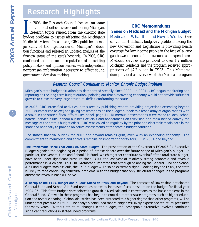# Research Highlights

I<br>buds n 2003, the Research Council focused on some of the most critical issues confronting Michigan. Research topics ranged from the chronic state budget problem to issues affecting the Michigan's Medicaid system. In addition, CRC published a major study of the organization of Michigan's education functions and released an updated analysis of the financial status of the state's hospitals. In 2003, CRC continued to build on its reputation of providing policy makers and opinion leaders with independent, nonpartisan information necessary to affect sound government decision making.

### **CRC Memorandums**

**Series on Medicaid and the Michigan Budget** *Medicaid – What It Is and How It Works* One of the most difficult budgetary problems facing the new Governor and Legislature is providing health coverage for low income people in the face of a large gap between general fund revenues and expenditures. Medicaid services are provided to over 1.2 million Michigan residents and the program received appropriations of \$7.2 billion in FY03. This Memorandum provided an overview of the Medicaid program

### Research Council Continues to Monitor Chronic Budget Problem

*Michigan's state budget situation has deteriorated steadily since 2000. In 2001, CRC began monitoring and reporting on the long-term budget outlook pointing out that a recovering economy would not provide sufficient growth to close the very large structural deficit confronting the state.*

*In 2003, CRC intensified activities in this area by publishing reports providing projections extending beyond 2003 (summarized below) and giving presentations on the budget outlook to a broad array of organizations with a stake in the state's fiscal affairs (see panel, page 7). Numerous presentations were made to local school boards, service clubs, school business officials and appearances on television and radio helped convey the message of the state's budget crisis. CRC was called on regularly by the print and electronic media both in the state and nationally to provide objective assessments of the state's budget condition.*

*The state's financial outlook for 2005 and beyond remains grim, even with an expanding economy. The commitment to monitoring and analysis remains an important priority for CRC in 2004 and beyond.*

*The Problematic Fiscal Year 2003-04 State Budget*The presentation of the Governor's FY2003-04 Executive Budget signaled the beginning of a period of intense debate over the future shape of Michigan's budget. In particular, the General Fund and School Aid Fund, which together constitute over half of the total state budget, have been under significant pressure since FY00, the last year of relatively strong economic and revenue performance in Michigan. This CRC Memorandum stated that although balancing the General Fund and School Aid Fund budgets was difficult, the FY05 budget will also be extremely tight. Looking beyond FY05, the state is likely to face continuing structural problems with the budget that only structural changes in the programs and/or the revenue base will solve.

*A Recap of the FY04 Budget and a Look Ahead to FY05 and Beyond* The forecast of lower-than-anticipated General Fund and School Aid Fund revenues portends increased fiscal pressure on the budget for fiscal year 2004-05. This State Budget Note pointed to growth in Medicaid and in corrections as the basic problems in the General Fund. Growth in these programs has begun to crowd out other state programs such as higher education and revenue sharing. School aid, which has been protected to a higher degree than other programs, will be under great pressure in FY05. The analysis concluded that Michigan will likely experience structural pressures for many years. Without structural changes in the budget, the inescapable alternative involves continued significant reductions in state-funded programs.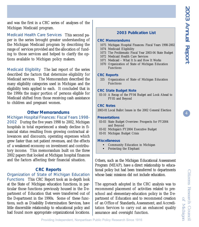and was the first in a CRC series of analyses of the Michigan Medicaid program.

*Medicaid Health Care Services*This second paper in the series brought greater understanding of the Michigan Medicaid program by describing the range of services provided and the allocation of funding to those services and helped to clarify the options available to Michigan policy makers.

*Medicaid Eligibility* The last report of the series described the factors that determine eligibility for Medicaid services. The Memorandum described the many eligibility categories used in Michigan and the eligibility tests applied to each. It concluded that in the 1990s the major portion of persons eligible for Medicaid shifted from those receiving cash assistance to children and pregnant women.

#### **Other Memorandums**

*Michigan Hospital Finances: Fiscal Years 1998- 2002* During the five years 1998 to 2002, Michigan hospitals in total experienced a steady decline in financial status resulting from growing contractual allowances and discounts, operating expenses which grew faster than net patient revenues, and the effects of a weakened economy on investment and contributory income. This memorandum built on the three 2002 papers that looked at Michigan hospital finances and the factors affecting their financial situation.

#### **CRC Reports**

*Organization of State of Michigan Education*

*Functions* This CRC Report took an in-depth look at the State of Michigan education functions, in particular those functions previously housed in the Department of Education that were transferred out of the Department in the 1990s. Some of these functions, such as Disability Determination Services, have little discernible relationship to educational policy and had found more appropriate organizational locations.

#### **2003 Publication List**

#### **CRC Memorandums**

- 1075 Michigan Hospital Finances: Fiscal Years 1998-2002
- 1074 Medicaid Eligibility
- 1073 The Problematic Fiscal Year 2003-04 State Budget
- 1072 Medicaid Health Care Services
- 1071 Medicaid What It Is and How It Works
- 1070 Organization of State of Michigan Education Functions

#### **CRC Reports**

 335 Organization of State of Michigan Education Functions

#### **CRC State Budget Note**

 03-10 A Recap of the FY04 Budget and Look Ahead to FY05 and Beyond

#### **CRC Notes**

2003-01 Local Ballot Issues in the 2002 General Election

#### **Presentations**

- 03-03 State Budget Overview: Prospects for FY2004 and Beyond
- 03-02 Michigan's FY2004 Executive Budget
- 03-01 Michigan Budget Crisis

#### **Miscellaneous**

- **Community Education in Michigan**
- ! Protecting the Elephant

Others, such as the Michigan Educational Assessment Program (MEAP), have a direct relationship to educational policy but had been transferred to departments whose basic missions did not include education.

The approach adopted in the CRC analysis was to recommend placement of activities related to preschool and elementary-education policy in the Department of Education and to recommend creation of an Office of Standards, Assessment, and Accreditation Services to carry out an enhanced quality assurance and oversight function.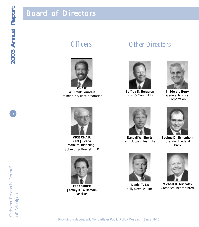# Board of Directors



**W. Frank Fountain** DaimlerChrysler Corporation

# Officers Other Directors



**Jeffrey D. Bergeron** Ernst & Young LLP



**J. Edward Berry** General Motors Corporation



**VICE CHAIR Kent J. Vana** Varnum, Riddering, Schmidt & Howlett LLP



**TREASURER Jeffrey K. Willemain** Deloitte.



**Randall W. Eberts** W.E. Upjohn Institute



**Joshua D. Eichenhorn** Standard Federal Bank



**Daniel T. Lis** Kelly Services, Inc.



**Michael H. Michalak** Comerica Incorporated

5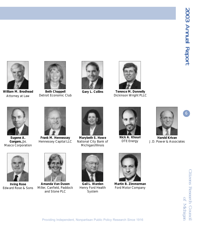

**William M. Brodhead** Attorney at Law



**Beth Chappell** Detroit Economic Club





**Gary L. Collins Terence M. Donnelly** Dickinson Wright PLLC



**Eugene A. Gargaro, Jr.** Masco Corporation



**Frank M. Hennessey** Hennessey Capital LLC



**Marybeth S. Howe** National City Bank of Michigan/Illinois



**Nick A. Khouri** DTE Energy



**Harold Krivan** J.D. Power & Associates



**Irving Rose** Edward Rose & Sons



**Amanda Van Dusen** Miller, Canfield, Paddock and Stone PLC



**Gail L. Warden** Henry Ford Health System



**Martin B. Zimmerman** Ford Motor Company

Citizens Research Council of Michigan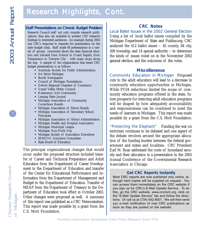# Research Highlights, Cont.

### *Staff Presentations on Chronic Budget Problem*

Research Council staff not only compile research publications, they also are available to present CRC research findings to interested audiences. An example during 2003 was CRC's response to requests for presentation on the state budget crisis. Staff made 68 presentations to a variety of groups concerned about the state financial situation and traveled from Detroit to Grand Rapids, from Temperance to Traverse City – with many stops along the way. A sample of the organizations that heard CRC budget presentations is as follows:

- **American Society for Public Administration**
- **-** Art Serve Michigan
- **Booth Newspapers**
- ! Council of Michigan Foundations
- ! Detroit Regional Chamber of Commerce
- ! Grand Valley Metro Council
- ! Kalamazoo Arts Community
- **Exercise IDE** Lansing State Journal
- ! Michigan Association of Community Corrections Boards
- ! Michigan Association of School Boards
- ! Michigan Association of Secondary School Principals
- ! Michigan Association of School Administrators
- ! Michigan Health and Hospital Association
- **Michigan Municipal League**
- ! Michigan Non-Profit Day
- ! Michigan Society of Association Executives
- **EXEMCOG Executive Committee**
- ! State Board of Education

The principal organizational changes that would occur under the proposed structure included transfer of Career and Technical Preparation and Adult Education from the Department of Career Development to the Department of Education and transfer of the Center for Educational Performance and Information from the Department of Management and Budget to the Department of Education. Transfer of MEAP from the Department of Treasury to the Department of Education took effect in October 2003. Other changes were proposed as well. A summary of this report was published as a CRC Memorandum. This report was made possible by a grant from the C.S. Mott Foundation.

### **CRC Notes**

#### *Local Ballot Issues in the 2002 General Election*

Using a list of local ballot issues compiled by the Michigan Department of State and Publius.org, CRC analyzed the 412 ballot issues  $-45$  county, 84 city, 269 township, and 14 special authority – to determine the kinds of issues voted on in the November 2002 general election and the outcomes of the votes.

#### **Miscellaneous**

*Community Education in Michigan* Proposed cuts to the adult education will lead to a decrease in community education opportunities in Michigan. While FY04 reductions limited the scope of community education programs offered in the state, future prospects for restoring adult education programs will be shaped by how adequately accountability and responsiveness can be combined to meet the needs of learners in Michigan. This report was made possible by a grant from the C.S. Mott Foundation.

*"Protecting the Elephant"* Funding the war on terrorism continues to be debated and one aspect of the debate revolves around the appropriate allocation of the funding burden between the federal government and states and localities. CRC President Earl M. Ryan addressed the costs of homeland security and their allocation in a presentation to the 2003 Annual Conference of the Governmental Research Association in Chicago.

### **Get CRC Reports Instantly**

Most CRC reports are now published only online, although hard copies will be supplied on request. You can access them immediately on the CRC website if you sign up for CRC's E-Mail Update Service. To do this, go the CRC website, www.crcmich.org, click on the "E-Mail Update Service" tab and follow the directions. Or call us at (734) 542-8001. We will then send you e-mail notification of new CRC publications as soon as they are posted on the website.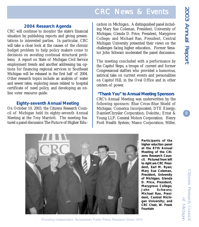# **CRC News & Events**

### **2004 Research Agenda**

CRC will continue to monitor the state's financial situation by publishing reports and giving presentations to interested parties. In particular, CRC will take a close look at the causes of the chronic budget problem to help policy makers come to decisions on avoiding continual structural problems. A report on State of Michigan Civil Service employment trends and another addressing tax options for financing regional services in Southeast Michigan will be released in the first half of 2004. Other research topics include an analysis of water and sewer rates, exploring issues related to hospital certificate of need policy, and developing an online voter resource guide.

#### **Eighty-seventh Annual Meeting**

On October 10, 2003, the Citizens Research Council of Michigan held its eighty-seventh Annual Meeting at the Troy Marriott. The meeting featured a panel discussion *The Future of Higher Edu-*

*cation in Michigan*. A distinguished panel including Mary Sue Coleman, President, University of Michigan; Glenda D. Price, President, Marygrove College; and Michael Rao, President, Central Michigan University presented their views on the challenges facing higher education. Former Senator John Schwarz moderated the panel discussion.

The meeting concluded with a performance by the Capitol Steps, a troupe of current and former Congressional staffers who provided a humorous, satirical take on current events and personalities on Capitol Hill, in the Oval Office and in other centers of power.

**"Thank You" to Annual Meeting Sponsors** CRC's Annual Meeting was underwritten by the following sponsors: Blue Cross-Blue Shield of Michigan; Comerica Incorporated; DTE Energy; DaimlerChrysler Corporation; Deloitte.; Ernst & Young LLP; General Motors Corporation; Henry Ford Health System; Masco Corporation; Miller,



**Participants of the higher eduction panel at the 87th Annual Meeting of the Citizens Research Council. Pictured from left to right are CRC President, Earl M. Ryan; Mary Sue Coleman, President, University of Michigan; Glenda D. Price, President, Marygrove College; John Schwarz; Michael Rao, President, Central Michigan University; and CRC Chair, W. Frank Fountain**

Citizens Research Council of Michigan

Providing Independent, Nonpartisan Public Policy Research Since 1916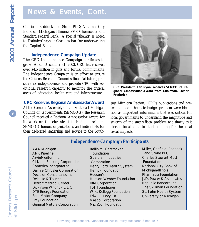# News & Events, Cont.

Canfield, Paddock and Stone PLC; National City Bank of Michigan/Illinois; PVS Chemicals; and Standard Federal Bank. A special "thanks" is noted to DaimlerChrysler Corporation for underwriting the Capitol Steps.

#### **Independence Campaign Update**

The CRC Independence Campaign continues to grow. As of December 31, 2003, CRC has received over \$4.5 million in gifts and formal commitments. The Independence Campaign is an effort to ensure the Citizens Research Council's financial future, preserve its independence, and provide CRC with additional research capacity to monitor the critical areas of education, health care and infrastructure.

#### **CRC Receives Regional Ambassador Award**

At the General Assembly of the Southeast Michigan Council of Governments (SEMCOG), the Research Council received a Regional Ambassador Award for its work on the chronic state budget problem. SEMCOG honors organizations and individuals for their dedicated leadership and service to the South-



**CRC President, Earl Ryan, receives SEMCOG's Regional Ambassador Award from Chairman, LaMar Frederick**

east Michigan Region. CRC's publications and presentations on the state budget problem were identified as important information that was critical for local governments to understand the magnitude and severity of the state's fiscal problem and timely as it alerted local units to start planning for the local fiscal impacts.

### *Independence Campaign Participants*

AAA Michigan ANR Pipeline ArvinMeritor, Inc. Citizens Banking Corporation Comerica Incorporated DaimlerChrysler Corporation Decision Consultants Inc. Deloitte & Touche Detroit Medical Center Dickinson Wright P.L.L.C. DTE Energy Foundation Ford Motor Company Frey Foundation General Motors Corporation

Rollin M. Gerstacker Foundation Guardian Industries Corporation Henry Ford Health System Herrick Foundation Hudson's Hudson-Webber Foundation IBM Corporation JSJ Foundation W.K. Kellogg Foundation Edw. C. Levy Co. Masco Corporation MichCon Foundation

Miller, Canfield, Paddock and Stone PLC Charles Stewart Mott Foundation National City Bank of Michigan/Illinois Pharmacia Foundation J.D. Power & Associates Republic Bancorp Inc. The Skillman Foundation St. John Health System University of Michigan

9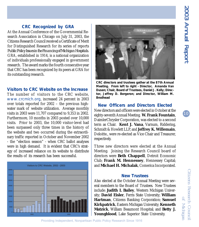### **CRC Recognized by GRA**

At the Annual Conference of the Governmental Research Association in Chicago on July 31, 2003, the Citizens Research Council received a Certificate of Merit for Distinguished Research for its series of reports *Public Policy Issues in the Financing of Michigan Hospitals.* GRA, established in 1914, is a national organization of individuals professionally engaged in government research. The award marks the fourth consecutive year that CRC has been recognized by its peers at GRA for its outstanding research.

#### **Visitors to CRC Website on the Increase**

The number of visitors to the CRC website, *www.crcmich.org*, increased 24 percent in 2003 over totals reported for 2002 – the previous highwater mark of website utilization. Average monthly visits in 2003 were 11,707 compared to 9,353 in 2002. Furthermore, 10 months in 2003 posted over 10,000 visits. Prior to 2003, the 10,000 visitor-level had been surpassed only three times in the history of the website and two occurred during the extraordinary traffic reported in October and November 2002 - the "election season" - when CRC ballot analyses were in high demand. It is evident that CRC's strategy of increased reliance on its website to distribute the results of its research has been successful.





**CRC directors and trustees gather at the 87th Annual Meeting. From left to right - Director, Amanda Van Dusen; Chair, Board of Trustees, Daniel J. Kelly; Director, Jeffrey D. Bergeron; and Director, William M. Brodhead**

**New Officers and Directors Elected** New directors and officers were elected in October at the eighty-seventh Annual Meeting. **W. Frank Fountain**, DaimlerChrysler Corporation, was elected to a second term as Chair. **Kent J. Vana**, Varnum, Riddering, Schmidt & Howlett LLP, and **Jeffrey K. Willemain**, Deloitte., were re-elected as Vice Chair and Treasurer, respectively.

Three new directors were elected at the Annual Meeting. Joining the Research Council board of directors were **Beth Chappell**, Detroit Economic Club; **Frank M. Hennessey**, Hennessey Capital; and **Michael H. Michalak**, Comerica Incorporated.

#### **New Trustees**

Also elected at the October Annual Meeting were several members to the Board of Trustees. New Trustees include: **Judith I. Bailey**, Western Michigan University; **David Eisler**, Ferris State University; **William Hartman**, Citizens Banking Corporation; **Samuel Kirkpatrick**, Eastern Michigan University; **Kenneth Matzick**, William Beaumont Hospital; and **Betty J. Youngblood**, Lake Superior State University.